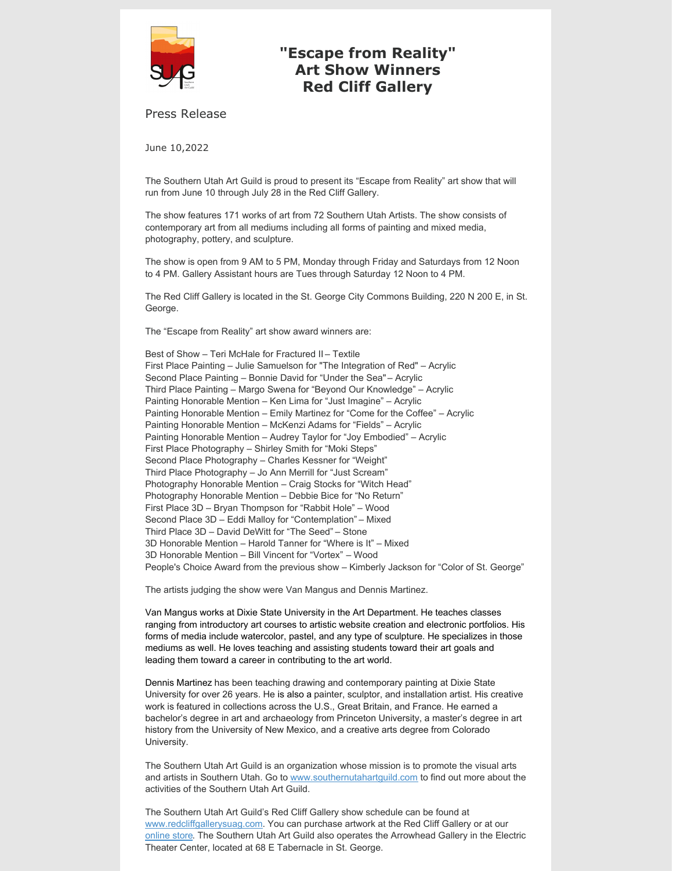

## **"Escape from Reality" Art Show Winners Red Cliff Gallery**

Press Release

June 10,2022

The Southern Utah Art Guild is proud to present its "Escape from Reality" art show that will run from June 10 through July 28 in the Red Cliff Gallery.

The show features 171 works of art from 72 Southern Utah Artists. The show consists of contemporary art from all mediums including all forms of painting and mixed media, photography, pottery, and sculpture.

The show is open from 9 AM to 5 PM, Monday through Friday and Saturdays from 12 Noon to 4 PM. Gallery Assistant hours are Tues through Saturday 12 Noon to 4 PM.

The Red Cliff Gallery is located in the St. George City Commons Building, 220 N 200 E, in St. George.

The "Escape from Reality" art show award winners are:

Best of Show – Teri McHale for Fractured II – Textile First Place Painting – Julie Samuelson for "The Integration of Red" – Acrylic Second Place Painting – Bonnie David for "Under the Sea" – Acrylic Third Place Painting – Margo Swena for "Beyond Our Knowledge" – Acrylic Painting Honorable Mention – Ken Lima for "Just Imagine" – Acrylic Painting Honorable Mention – Emily Martinez for "Come for the Coffee" – Acrylic Painting Honorable Mention – McKenzi Adams for "Fields" – Acrylic Painting Honorable Mention – Audrey Taylor for "Joy Embodied" – Acrylic First Place Photography – Shirley Smith for "Moki Steps" Second Place Photography – Charles Kessner for "Weight" Third Place Photography – Jo Ann Merrill for "Just Scream" Photography Honorable Mention – Craig Stocks for "Witch Head" Photography Honorable Mention – Debbie Bice for "No Return" First Place 3D – Bryan Thompson for "Rabbit Hole" – Wood Second Place 3D – Eddi Malloy for "Contemplation" – Mixed Third Place 3D – David DeWitt for "The Seed" – Stone 3D Honorable Mention – Harold Tanner for "Where is It" – Mixed 3D Honorable Mention – Bill Vincent for "Vortex" – Wood People's Choice Award from the previous show – Kimberly Jackson for "Color of St. George"

The artists judging the show were Van Mangus and Dennis Martinez.

Van Mangus works at Dixie State University in the Art Department. He teaches classes ranging from introductory art courses to artistic website creation and electronic portfolios. His forms of media include watercolor, pastel, and any type of sculpture. He specializes in those mediums as well. He loves teaching and assisting students toward their art goals and leading them toward a career in contributing to the art world.

Dennis Martinez has been teaching drawing and contemporary painting at Dixie State University for over 26 years. He is also a painter, sculptor, and installation artist. His creative work is featured in collections across the U.S., Great Britain, and France. He earned a bachelor's degree in art and archaeology from Princeton University, a master's degree in art history from the University of New Mexico, and a creative arts degree from Colorado University.

The Southern Utah Art Guild is an organization whose mission is to promote the visual arts and artists in Southern Utah. Go to www.southernutahartguild.com to find out more about the activities of the Southern Utah Art Guild.

The Southern Utah Art Guild's Red Cliff Gallery show schedule can be found at www.redcliffgallerysuag.com. You can purchase artwork at the Red Cliff Gallery or at our online store. The Southern Utah Art Guild also operates the Arrowhead Gallery in the Electric Theater Center, located at 68 E Tabernacle in St. George.